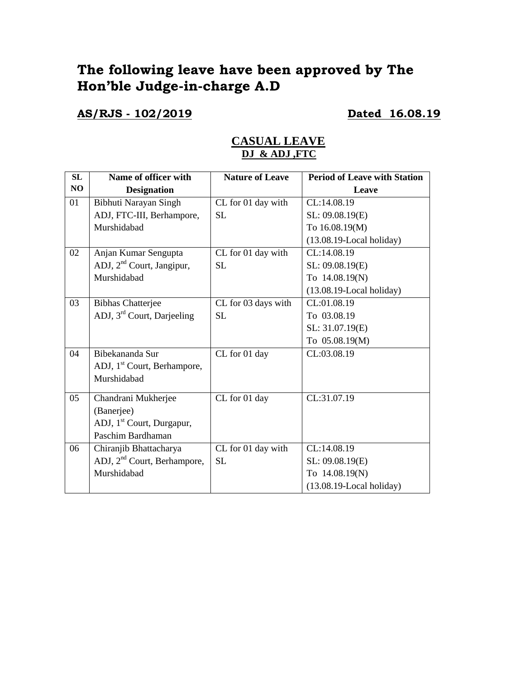# **The following leave have been approved by The Hon'ble Judge-in-charge A.D**

**AS/RJS - 102/2019 Dated 16.08.19**

### **CASUAL LEAVE DJ & ADJ ,FTC**

| SL | Name of officer with                    | <b>Nature of Leave</b> | <b>Period of Leave with Station</b> |
|----|-----------------------------------------|------------------------|-------------------------------------|
| NO | <b>Designation</b>                      |                        | Leave                               |
| 01 | Bibhuti Narayan Singh                   | CL for 01 day with     | CL:14.08.19                         |
|    | ADJ, FTC-III, Berhampore,               | <b>SL</b>              | SL: 09.08.19(E)                     |
|    | Murshidabad                             |                        | To 16.08.19(M)                      |
|    |                                         |                        | $(13.08.19$ -Local holiday)         |
| 02 | Anjan Kumar Sengupta                    | CL for 01 day with     | CL:14.08.19                         |
|    | ADJ, 2 <sup>nd</sup> Court, Jangipur,   | SL                     | SL: 09.08.19(E)                     |
|    | Murshidabad                             |                        | To 14.08.19(N)                      |
|    |                                         |                        | $(13.08.19$ -Local holiday)         |
| 03 | <b>Bibhas Chatterjee</b>                | CL for 03 days with    | CL:01.08.19                         |
|    | ADJ, 3 <sup>rd</sup> Court, Darjeeling  | <b>SL</b>              | To 03.08.19                         |
|    |                                         |                        | SL: 31.07.19(E)                     |
|    |                                         |                        | To 05.08.19(M)                      |
| 04 | Bibekananda Sur                         | CL for 01 day          | CL:03.08.19                         |
|    | ADJ, 1 <sup>st</sup> Court, Berhampore, |                        |                                     |
|    | Murshidabad                             |                        |                                     |
| 05 | Chandrani Mukherjee                     | CL for 01 day          | CL:31.07.19                         |
|    | (Banerjee)                              |                        |                                     |
|    | ADJ, 1 <sup>st</sup> Court, Durgapur,   |                        |                                     |
|    | Paschim Bardhaman                       |                        |                                     |
| 06 | Chiranjib Bhattacharya                  | CL for 01 day with     | CL:14.08.19                         |
|    | ADJ, 2 <sup>nd</sup> Court, Berhampore, | <b>SL</b>              | SL: 09.08.19(E)                     |
|    | Murshidabad                             |                        |                                     |
|    |                                         |                        | To 14.08.19(N)                      |
|    |                                         |                        | $(13.08.19$ -Local holiday)         |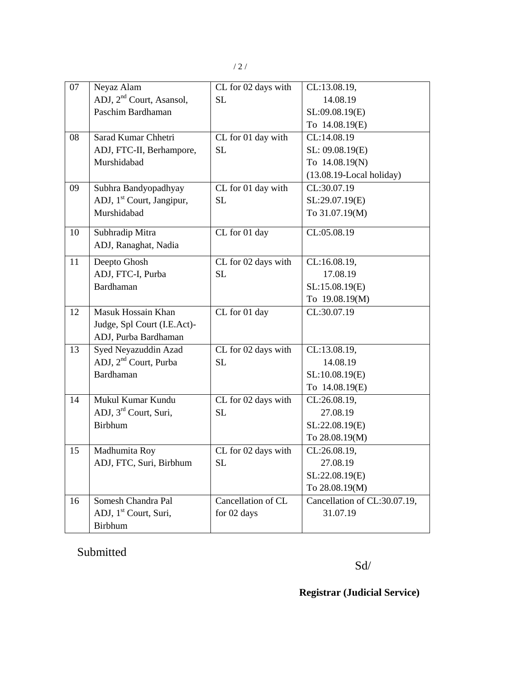| 07 | Neyaz Alam                            | CL for 02 days with               | CL:13.08.19,                 |
|----|---------------------------------------|-----------------------------------|------------------------------|
|    | ADJ, 2 <sup>nd</sup> Court, Asansol,  | SL                                | 14.08.19                     |
|    | Paschim Bardhaman                     |                                   | SL:09.08.19(E)               |
|    |                                       |                                   | To 14.08.19(E)               |
| 08 | Sarad Kumar Chhetri                   | CL for 01 day with                | CL:14.08.19                  |
|    | ADJ, FTC-II, Berhampore,              | <b>SL</b>                         | SL: 09.08.19(E)              |
|    | Murshidabad                           |                                   | To 14.08.19(N)               |
|    |                                       |                                   | $(13.08.19$ -Local holiday)  |
| 09 | Subhra Bandyopadhyay                  | CL for 01 day with                | CL:30.07.19                  |
|    | ADJ, 1 <sup>st</sup> Court, Jangipur, | SL                                | SL:29.07.19(E)               |
|    | Murshidabad                           |                                   | To 31.07.19(M)               |
| 10 | Subhradip Mitra                       | $\overline{\text{CL}}$ for 01 day | CL:05.08.19                  |
|    | ADJ, Ranaghat, Nadia                  |                                   |                              |
| 11 | Deepto Ghosh                          | CL for 02 days with               | CL:16.08.19,                 |
|    | ADJ, FTC-I, Purba                     | <b>SL</b>                         | 17.08.19                     |
|    | <b>Bardhaman</b>                      |                                   | SL:15.08.19(E)               |
|    |                                       |                                   | To 19.08.19(M)               |
| 12 | Masuk Hossain Khan                    | CL for 01 day                     | CL:30.07.19                  |
|    | Judge, Spl Court (I.E.Act)-           |                                   |                              |
|    | ADJ, Purba Bardhaman                  |                                   |                              |
| 13 | Syed Neyazuddin Azad                  | CL for 02 days with               | CL:13.08.19,                 |
|    | ADJ, 2 <sup>nd</sup> Court, Purba     | <b>SL</b>                         | 14.08.19                     |
|    | Bardhaman                             |                                   | SL:10.08.19(E)               |
|    |                                       |                                   | To 14.08.19(E)               |
| 14 | Mukul Kumar Kundu                     | CL for 02 days with               | CL:26.08.19,                 |
|    | ADJ, 3 <sup>rd</sup> Court, Suri,     | <b>SL</b>                         | 27.08.19                     |
|    | <b>Birbhum</b>                        |                                   | SL:22.08.19(E)               |
|    |                                       |                                   | To 28.08.19(M)               |
| 15 | Madhumita Roy                         | CL for 02 days with               | CL:26.08.19,                 |
|    | ADJ, FTC, Suri, Birbhum               | <b>SL</b>                         | 27.08.19                     |
|    |                                       |                                   | SL:22.08.19(E)               |
|    |                                       |                                   | To 28.08.19(M)               |
| 16 | Somesh Chandra Pal                    | Cancellation of CL                | Cancellation of CL:30.07.19, |
|    | ADJ, 1 <sup>st</sup> Court, Suri,     | for 02 days                       | 31.07.19                     |
|    | <b>Birbhum</b>                        |                                   |                              |

## Submitted

Sd/

## **Registrar (Judicial Service)**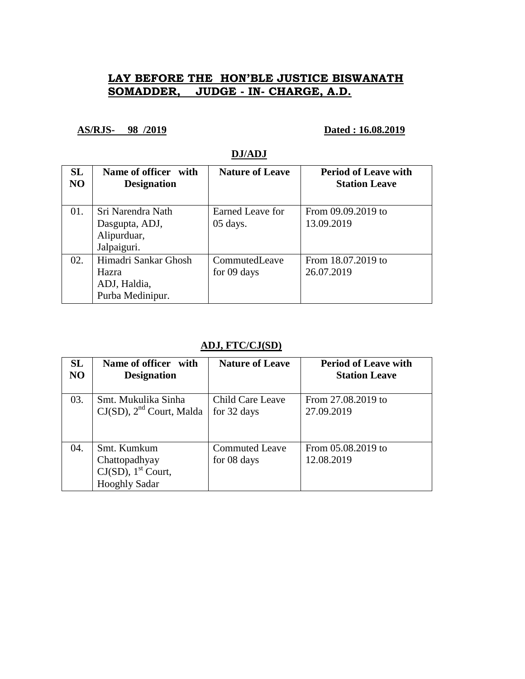## **LAY BEFORE THE HON'BLE JUSTICE BISWANATH SOMADDER, JUDGE - IN- CHARGE, A.D.**

**AS/RJS- 98 /2019 Dated : 16.08.2019**

## **DJ/ADJ**

| SL<br>N <sub>O</sub> | Name of officer with<br><b>Designation</b>                        | <b>Nature of Leave</b>       | <b>Period of Leave with</b><br><b>Station Leave</b> |
|----------------------|-------------------------------------------------------------------|------------------------------|-----------------------------------------------------|
| 01.                  | Sri Narendra Nath                                                 | Earned Leave for             | From 09.09.2019 to                                  |
|                      | Dasgupta, ADJ,<br>Alipurduar,                                     | $05$ days.                   | 13.09.2019                                          |
|                      | Jalpaiguri.                                                       |                              |                                                     |
| 02.                  | Himadri Sankar Ghosh<br>Hazra<br>ADJ, Haldia,<br>Purba Medinipur. | CommutedLeave<br>for 09 days | From 18.07.2019 to<br>26.07.2019                    |

### **ADJ, FTC/CJ(SD)**

| <b>SL</b> | Name of officer with                                                                      | <b>Nature of Leave</b>               | <b>Period of Leave with</b>      |
|-----------|-------------------------------------------------------------------------------------------|--------------------------------------|----------------------------------|
| NO        | <b>Designation</b>                                                                        |                                      | <b>Station Leave</b>             |
| 03.       | Smt. Mukulika Sinha<br>$CJ(SD)$ , $2nd$ Court, Malda                                      | Child Care Leave<br>for 32 days      | From 27.08.2019 to<br>27.09.2019 |
| 04.       | Smt. Kumkum<br>Chattopadhyay<br>$CJ(SD)$ , 1 <sup>st</sup> Court,<br><b>Hooghly Sadar</b> | <b>Commuted Leave</b><br>for 08 days | From 05.08.2019 to<br>12.08.2019 |